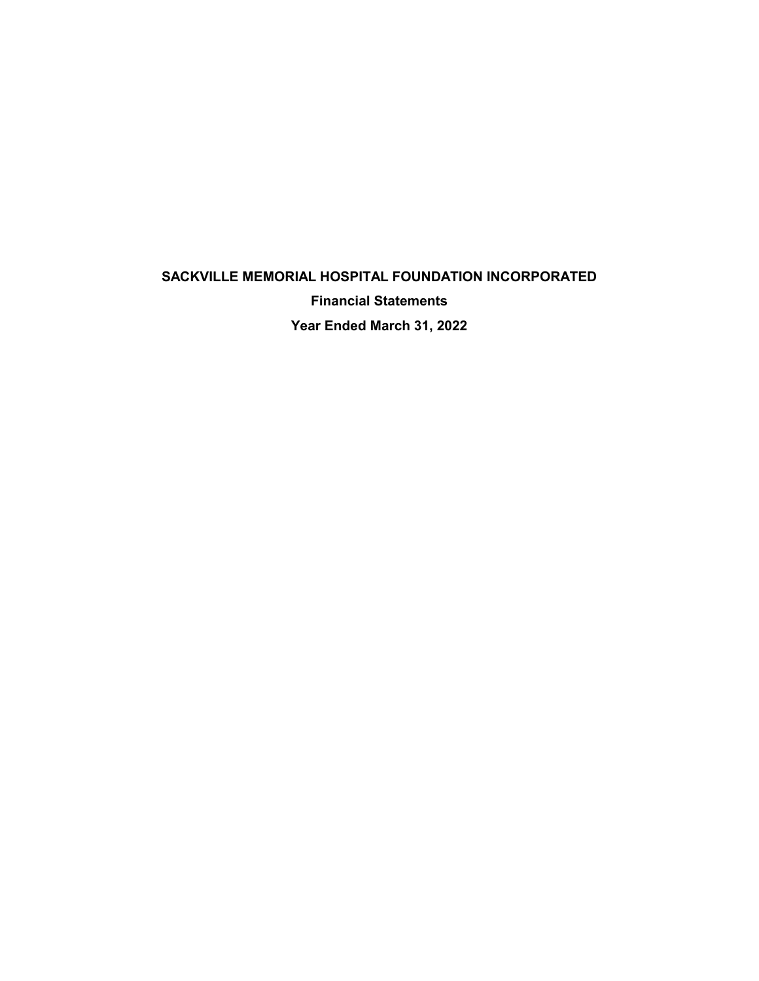# **SACKVILLE MEMORIAL HOSPITAL FOUNDATION INCORPORATED Financial Statements Year Ended March 31, 2022**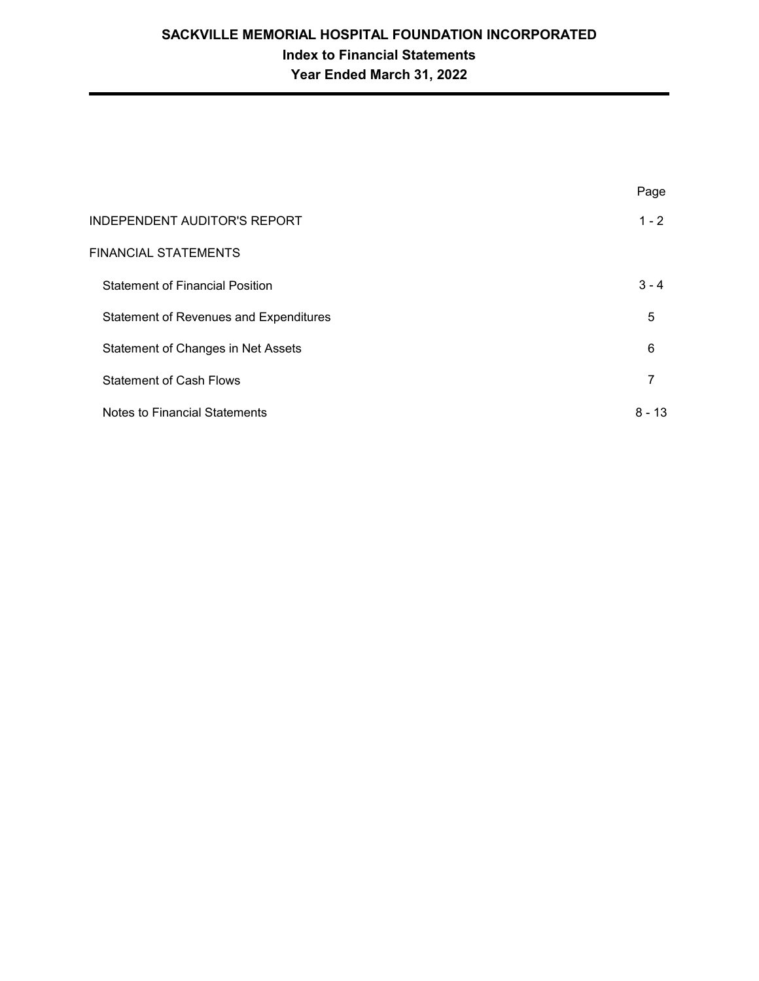|                                               | Page     |
|-----------------------------------------------|----------|
| INDEPENDENT AUDITOR'S REPORT                  | $1 - 2$  |
| FINANCIAL STATEMENTS                          |          |
| <b>Statement of Financial Position</b>        | $3 - 4$  |
| <b>Statement of Revenues and Expenditures</b> | 5        |
| Statement of Changes in Net Assets            | 6        |
| <b>Statement of Cash Flows</b>                | 7        |
| Notes to Financial Statements                 | $8 - 13$ |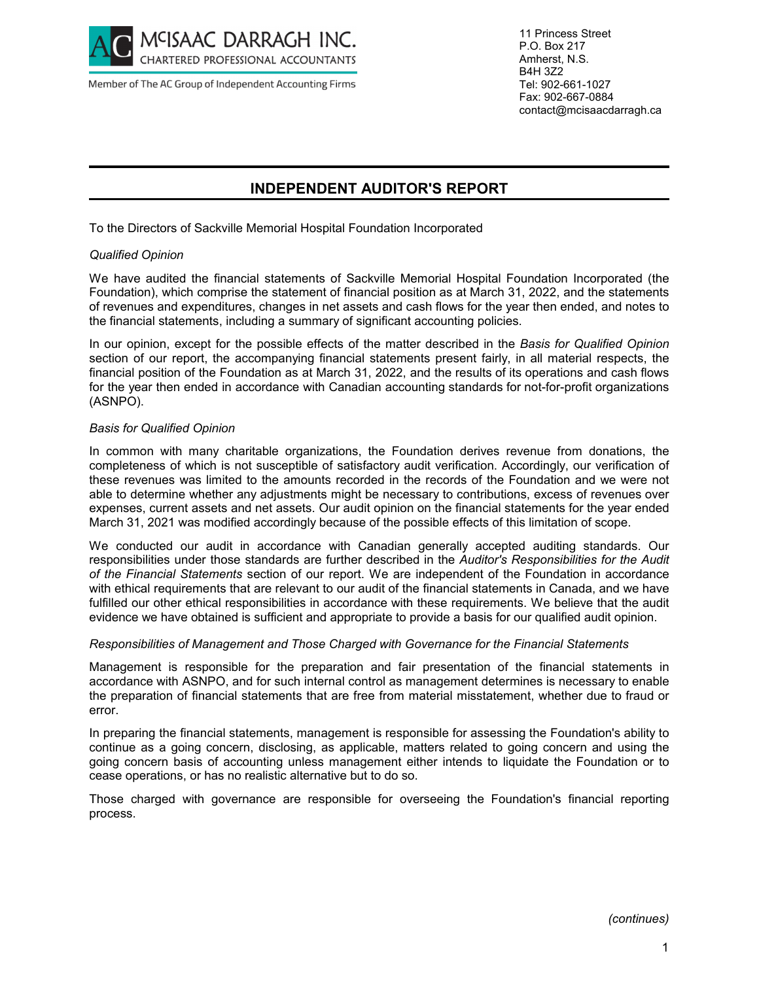

Member of The AC Group of Independent Accounting Firms

11 Princess Street P.O. Box 217 Amherst, N.S. B4H 3Z2 Tel: 902-661-1027 Fax: 902-667-0884 contact@mcisaacdarragh.ca

## **INDEPENDENT AUDITOR'S REPORT**

To the Directors of Sackville Memorial Hospital Foundation Incorporated

#### *Qualified Opinion*

We have audited the financial statements of Sackville Memorial Hospital Foundation Incorporated (the Foundation), which comprise the statement of financial position as at March 31, 2022, and the statements of revenues and expenditures, changes in net assets and cash flows for the year then ended, and notes to the financial statements, including a summary of significant accounting policies.

In our opinion, except for the possible effects of the matter described in the *Basis for Qualified Opinion* section of our report, the accompanying financial statements present fairly, in all material respects, the financial position of the Foundation as at March 31, 2022, and the results of its operations and cash flows for the year then ended in accordance with Canadian accounting standards for not-for-profit organizations (ASNPO).

#### *Basis for Qualified Opinion*

In common with many charitable organizations, the Foundation derives revenue from donations, the completeness of which is not susceptible of satisfactory audit verification. Accordingly, our verification of these revenues was limited to the amounts recorded in the records of the Foundation and we were not able to determine whether any adjustments might be necessary to contributions, excess of revenues over expenses, current assets and net assets. Our audit opinion on the financial statements for the year ended March 31, 2021 was modified accordingly because of the possible effects of this limitation of scope.

We conducted our audit in accordance with Canadian generally accepted auditing standards. Our responsibilities under those standards are further described in the *Auditor's Responsibilities for the Audit of the Financial Statements* section of our report. We are independent of the Foundation in accordance with ethical requirements that are relevant to our audit of the financial statements in Canada, and we have fulfilled our other ethical responsibilities in accordance with these requirements. We believe that the audit evidence we have obtained is sufficient and appropriate to provide a basis for our qualified audit opinion.

#### *Responsibilities of Management and Those Charged with Governance for the Financial Statements*

Management is responsible for the preparation and fair presentation of the financial statements in accordance with ASNPO, and for such internal control as management determines is necessary to enable the preparation of financial statements that are free from material misstatement, whether due to fraud or error.

In preparing the financial statements, management is responsible for assessing the Foundation's ability to continue as a going concern, disclosing, as applicable, matters related to going concern and using the going concern basis of accounting unless management either intends to liquidate the Foundation or to cease operations, or has no realistic alternative but to do so.

Those charged with governance are responsible for overseeing the Foundation's financial reporting process.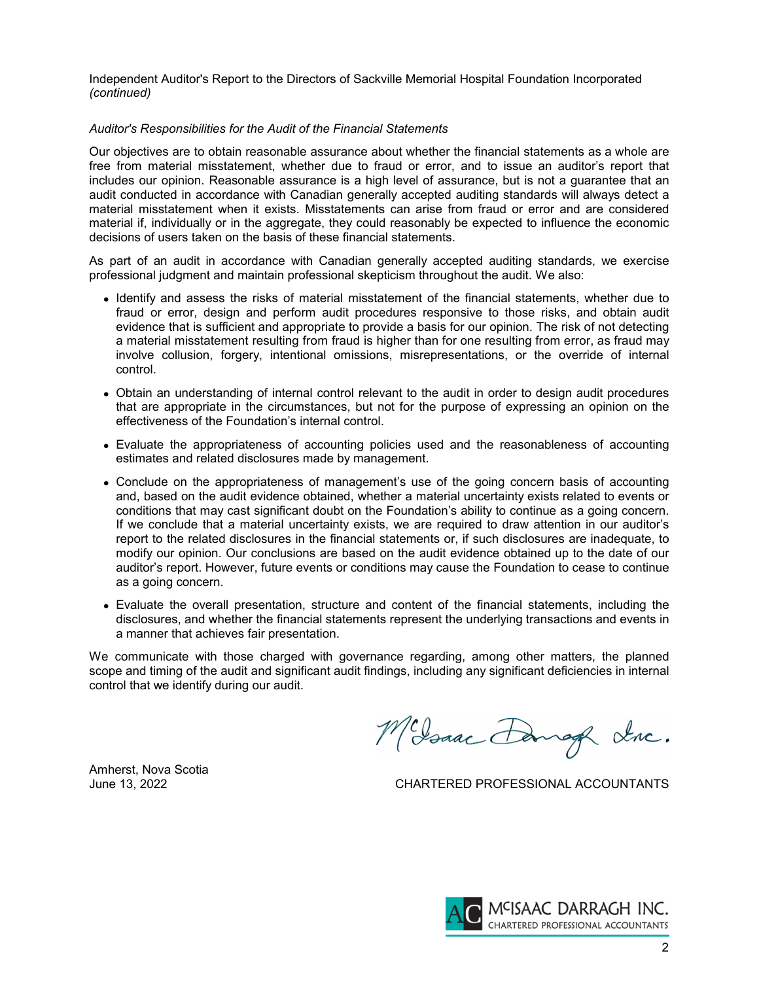Independent Auditor's Report to the Directors of Sackville Memorial Hospital Foundation Incorporated *(continued)*

#### *Auditor's Responsibilities for the Audit of the Financial Statements*

Our objectives are to obtain reasonable assurance about whether the financial statements as a whole are free from material misstatement, whether due to fraud or error, and to issue an auditor's report that includes our opinion. Reasonable assurance is a high level of assurance, but is not a guarantee that an audit conducted in accordance with Canadian generally accepted auditing standards will always detect a material misstatement when it exists. Misstatements can arise from fraud or error and are considered material if, individually or in the aggregate, they could reasonably be expected to influence the economic decisions of users taken on the basis of these financial statements.

As part of an audit in accordance with Canadian generally accepted auditing standards, we exercise professional judgment and maintain professional skepticism throughout the audit. We also:

- Identify and assess the risks of material misstatement of the financial statements, whether due to fraud or error, design and perform audit procedures responsive to those risks, and obtain audit evidence that is sufficient and appropriate to provide a basis for our opinion. The risk of not detecting a material misstatement resulting from fraud is higher than for one resulting from error, as fraud may involve collusion, forgery, intentional omissions, misrepresentations, or the override of internal control.
- Obtain an understanding of internal control relevant to the audit in order to design audit procedures that are appropriate in the circumstances, but not for the purpose of expressing an opinion on the effectiveness of the Foundation's internal control.
- Evaluate the appropriateness of accounting policies used and the reasonableness of accounting estimates and related disclosures made by management.
- Conclude on the appropriateness of management's use of the going concern basis of accounting and, based on the audit evidence obtained, whether a material uncertainty exists related to events or conditions that may cast significant doubt on the Foundation's ability to continue as a going concern. If we conclude that a material uncertainty exists, we are required to draw attention in our auditor's report to the related disclosures in the financial statements or, if such disclosures are inadequate, to modify our opinion. Our conclusions are based on the audit evidence obtained up to the date of our auditor's report. However, future events or conditions may cause the Foundation to cease to continue as a going concern.
- Evaluate the overall presentation, structure and content of the financial statements, including the disclosures, and whether the financial statements represent the underlying transactions and events in a manner that achieves fair presentation.

We communicate with those charged with governance regarding, among other matters, the planned scope and timing of the audit and significant audit findings, including any significant deficiencies in internal control that we identify during our audit.

McJoaac Dang Lac.

Amherst, Nova Scotia

June 13, 2022 CHARTERED PROFESSIONAL ACCOUNTANTS

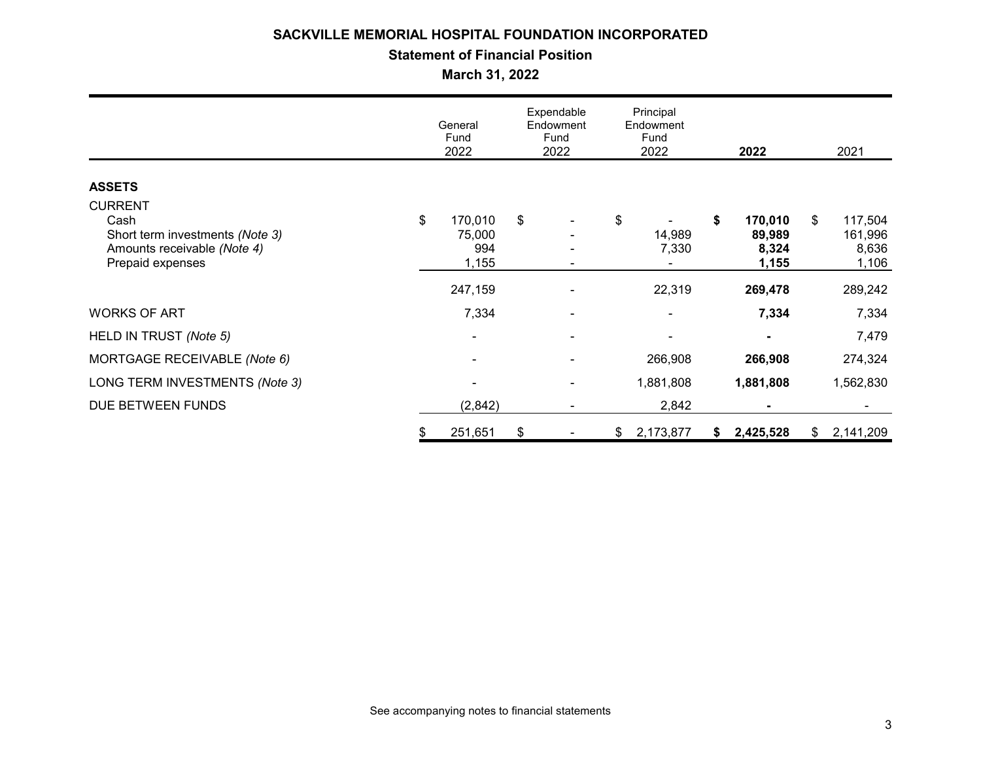## **Statement of Financial Position**

**March 31, 2022**

|                                                                                                              |    | General<br>Fund<br>2022           |       | Expendable<br>Endowment<br>Fund<br>2022 |    | Principal<br>Endowment<br>Fund<br>2022 |    | 2022                                |    |                                      | 2021 |
|--------------------------------------------------------------------------------------------------------------|----|-----------------------------------|-------|-----------------------------------------|----|----------------------------------------|----|-------------------------------------|----|--------------------------------------|------|
|                                                                                                              |    |                                   |       |                                         |    |                                        |    |                                     |    |                                      |      |
| <b>ASSETS</b>                                                                                                |    |                                   |       |                                         |    |                                        |    |                                     |    |                                      |      |
| <b>CURRENT</b><br>Cash<br>Short term investments (Note 3)<br>Amounts receivable (Note 4)<br>Prepaid expenses | \$ | 170,010<br>75,000<br>994<br>1,155 | $\$\$ |                                         | \$ | 14,989<br>7,330                        | \$ | 170,010<br>89,989<br>8,324<br>1,155 | \$ | 117,504<br>161,996<br>8,636<br>1,106 |      |
|                                                                                                              |    |                                   |       |                                         |    |                                        |    |                                     |    |                                      |      |
|                                                                                                              |    | 247,159                           |       |                                         |    | 22,319                                 |    | 269,478                             |    | 289,242                              |      |
| <b>WORKS OF ART</b>                                                                                          |    | 7,334                             |       |                                         |    |                                        |    | 7,334                               |    | 7,334                                |      |
| HELD IN TRUST (Note 5)                                                                                       |    | ٠                                 |       |                                         |    | $\overline{\phantom{0}}$               |    |                                     |    | 7,479                                |      |
| MORTGAGE RECEIVABLE (Note 6)                                                                                 |    |                                   |       |                                         |    | 266,908                                |    | 266,908                             |    | 274,324                              |      |
| LONG TERM INVESTMENTS (Note 3)                                                                               |    |                                   |       |                                         |    | 1,881,808                              |    | 1,881,808                           |    | 1,562,830                            |      |
| DUE BETWEEN FUNDS                                                                                            |    | (2,842)                           |       | $\overline{\phantom{a}}$                |    | 2,842                                  |    | ۰.                                  |    | ۰                                    |      |
|                                                                                                              | \$ | 251,651                           | \$    |                                         | \$ | 2,173,877                              | \$ | 2,425,528                           | \$ | 2,141,209                            |      |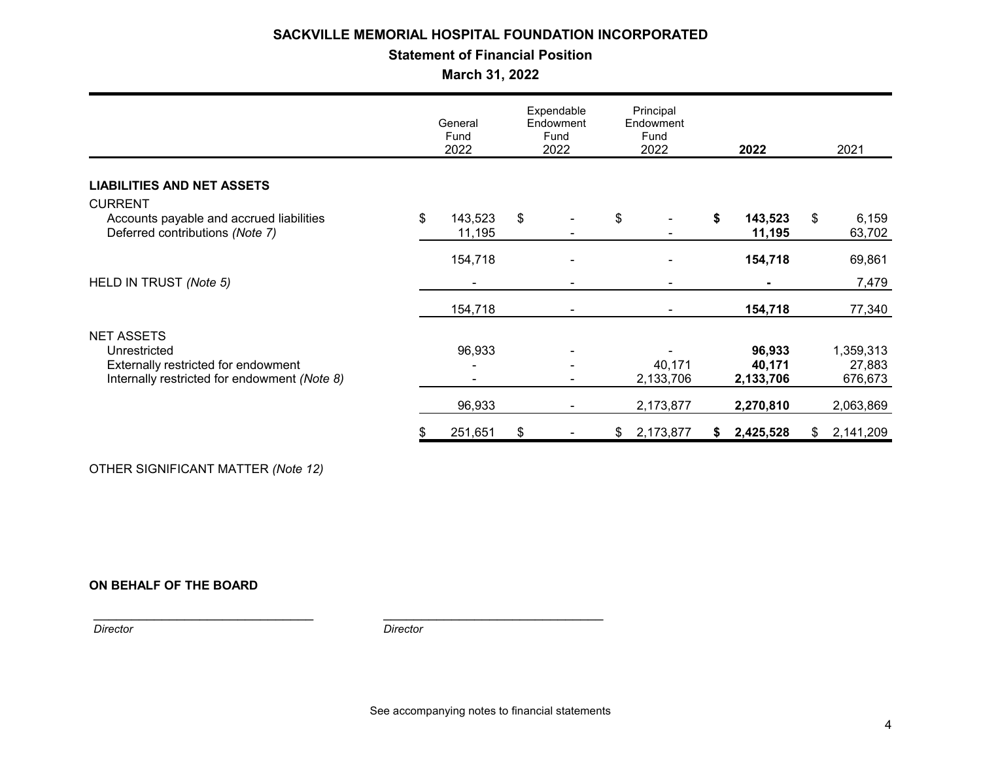## **Statement of Financial Position**

**March 31, 2022**

|                                              | General<br>Fund<br>2022 |         | Expendable<br>Endowment<br>Fund<br>2022 |   | Principal<br>Endowment<br>Fund<br>2022 |           | 2022 |           | 2021 |           |
|----------------------------------------------|-------------------------|---------|-----------------------------------------|---|----------------------------------------|-----------|------|-----------|------|-----------|
|                                              |                         |         |                                         |   |                                        |           |      |           |      |           |
| <b>LIABILITIES AND NET ASSETS</b>            |                         |         |                                         |   |                                        |           |      |           |      |           |
| <b>CURRENT</b>                               |                         |         |                                         |   |                                        |           |      |           |      |           |
| Accounts payable and accrued liabilities     | \$                      | 143,523 | $\sqrt[6]{2}$                           |   | \$                                     |           | \$   | 143,523   | \$   | 6,159     |
| Deferred contributions (Note 7)              |                         | 11,195  |                                         |   |                                        |           |      | 11,195    |      | 63,702    |
|                                              |                         | 154,718 |                                         |   |                                        |           |      | 154,718   |      | 69,861    |
| HELD IN TRUST (Note 5)                       |                         |         |                                         |   |                                        |           |      |           |      | 7,479     |
|                                              |                         | 154,718 |                                         |   |                                        |           |      | 154,718   |      | 77,340    |
| <b>NET ASSETS</b>                            |                         |         |                                         |   |                                        |           |      |           |      |           |
| Unrestricted                                 |                         | 96,933  |                                         |   |                                        |           |      | 96,933    |      | 1,359,313 |
| Externally restricted for endowment          |                         |         |                                         |   |                                        | 40,171    |      | 40,171    |      | 27,883    |
| Internally restricted for endowment (Note 8) |                         |         |                                         |   |                                        | 2,133,706 |      | 2,133,706 |      | 676,673   |
|                                              |                         | 96,933  |                                         | ٠ |                                        | 2,173,877 |      | 2,270,810 |      | 2,063,869 |
|                                              | \$                      | 251,651 | \$                                      |   | \$                                     | 2,173,877 | S.   | 2,425,528 | \$   | 2,141,209 |

OTHER SIGNIFICANT MATTER *(Note 12)*

## **ON BEHALF OF THE BOARD**

*Director* 

*Director*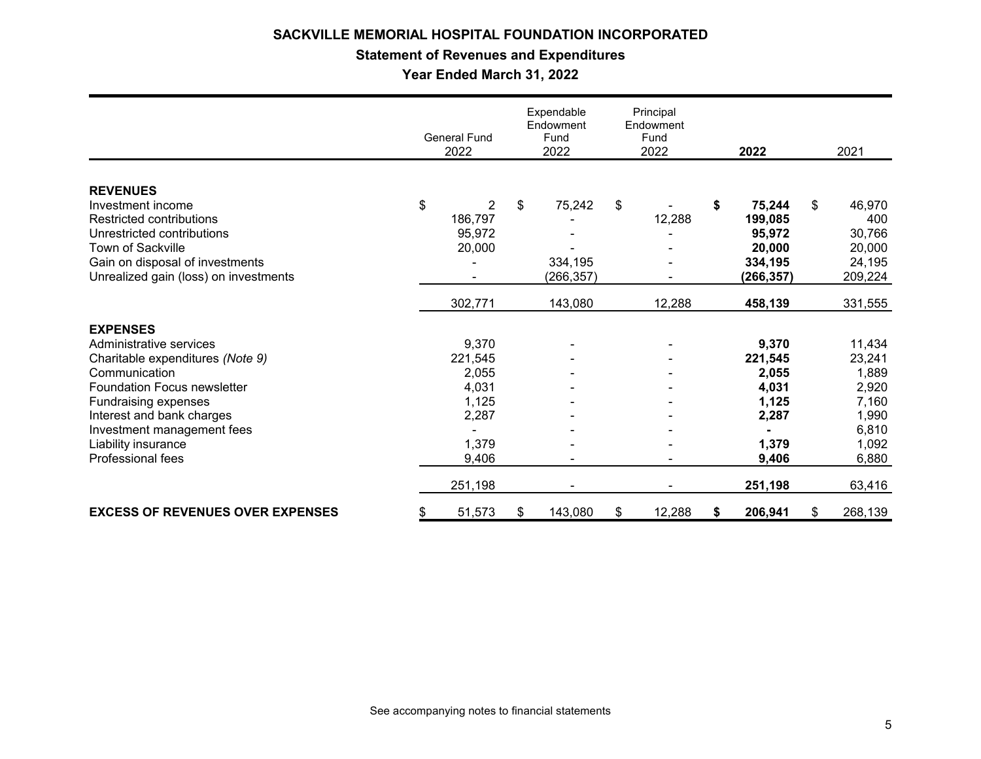## **Statement of Revenues and Expenditures**

**Year Ended March 31, 2022**

|                                         | General Fund<br>2022 |                | Expendable<br>Endowment<br>Fund<br>2022 |            | Principal<br>Endowment<br>Fund<br>2022 |        | 2022 |            | 2021          |
|-----------------------------------------|----------------------|----------------|-----------------------------------------|------------|----------------------------------------|--------|------|------------|---------------|
|                                         |                      |                |                                         |            |                                        |        |      |            |               |
| <b>REVENUES</b>                         |                      |                |                                         |            |                                        |        |      |            |               |
| Investment income                       | \$                   | $\overline{2}$ | \$                                      | 75,242     | \$                                     |        | \$   | 75,244     | \$<br>46,970  |
| Restricted contributions                |                      | 186,797        |                                         |            |                                        | 12,288 |      | 199,085    | 400           |
| Unrestricted contributions              |                      | 95,972         |                                         |            |                                        |        |      | 95,972     | 30,766        |
| Town of Sackville                       |                      | 20,000         |                                         |            |                                        |        |      | 20,000     | 20,000        |
| Gain on disposal of investments         |                      |                |                                         | 334,195    |                                        |        |      | 334,195    | 24,195        |
| Unrealized gain (loss) on investments   |                      |                |                                         | (266, 357) |                                        |        |      | (266, 357) | 209,224       |
|                                         |                      | 302,771        |                                         | 143,080    |                                        | 12,288 |      | 458,139    | 331,555       |
| <b>EXPENSES</b>                         |                      |                |                                         |            |                                        |        |      |            |               |
| Administrative services                 |                      | 9,370          |                                         |            |                                        |        |      | 9,370      | 11,434        |
| Charitable expenditures (Note 9)        |                      | 221,545        |                                         |            |                                        |        |      | 221,545    | 23,241        |
| Communication                           |                      | 2,055          |                                         |            |                                        |        |      | 2,055      | 1,889         |
| <b>Foundation Focus newsletter</b>      |                      | 4,031          |                                         |            |                                        |        |      | 4,031      | 2,920         |
| Fundraising expenses                    |                      | 1,125          |                                         |            |                                        |        |      | 1,125      | 7,160         |
| Interest and bank charges               |                      | 2,287          |                                         |            |                                        |        |      | 2,287      | 1,990         |
| Investment management fees              |                      |                |                                         |            |                                        |        |      |            | 6,810         |
| Liability insurance                     |                      | 1,379          |                                         |            |                                        |        |      | 1,379      | 1,092         |
| Professional fees                       |                      | 9,406          |                                         |            |                                        |        |      | 9,406      | 6,880         |
|                                         |                      | 251,198        |                                         |            |                                        |        |      | 251,198    | 63,416        |
| <b>EXCESS OF REVENUES OVER EXPENSES</b> | S                    | 51,573         | \$                                      | 143,080    | \$                                     | 12,288 | \$   | 206,941    | \$<br>268,139 |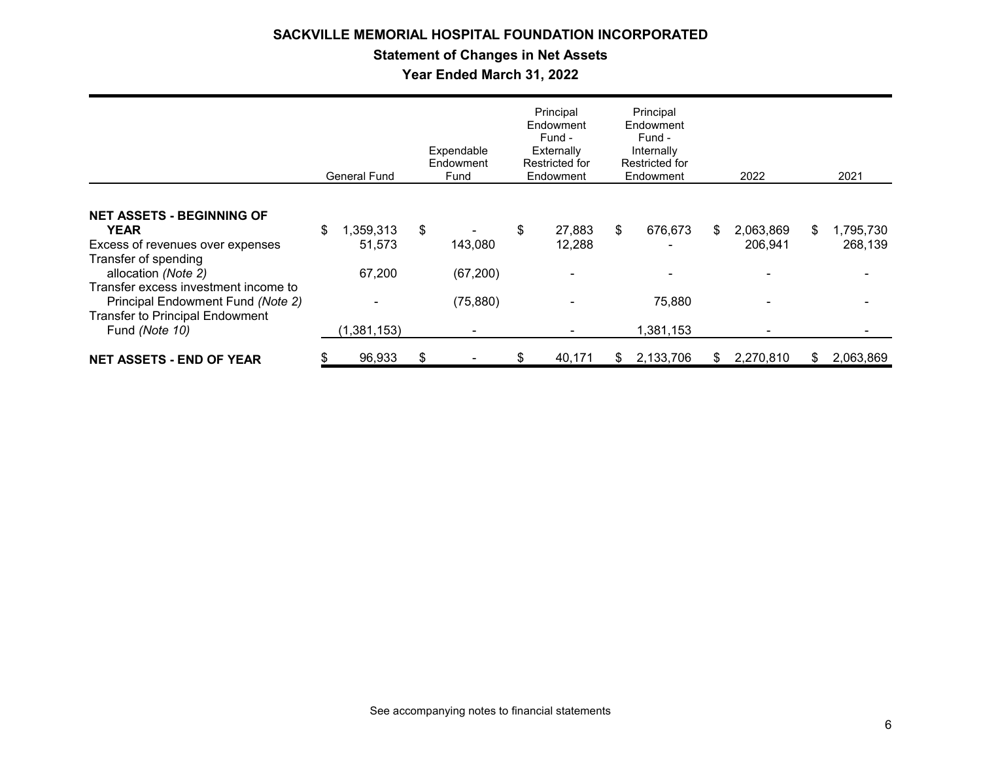## **Statement of Changes in Net Assets**

**Year Ended March 31, 2022**

|                                                                                                                                                                                                                                                                             | <b>General Fund</b>                                  |    | Expendable<br>Endowment<br>Fund   | Principal<br>Endowment<br>Fund -<br>Externally<br>Restricted for<br>Endowment |     | Principal<br>Endowment<br>Fund -<br>Internally<br>Restricted for<br>Endowment |    | 2022                 |     | 2021                                             |
|-----------------------------------------------------------------------------------------------------------------------------------------------------------------------------------------------------------------------------------------------------------------------------|------------------------------------------------------|----|-----------------------------------|-------------------------------------------------------------------------------|-----|-------------------------------------------------------------------------------|----|----------------------|-----|--------------------------------------------------|
| <b>NET ASSETS - BEGINNING OF</b><br><b>YEAR</b><br>Excess of revenues over expenses<br>Transfer of spending<br>allocation (Note 2)<br>Transfer excess investment income to<br>Principal Endowment Fund (Note 2)<br><b>Transfer to Principal Endowment</b><br>Fund (Note 10) | \$<br>1,359,313<br>51,573<br>67,200<br>(1, 381, 153) | \$ | 143,080<br>(67, 200)<br>(75, 880) | \$<br>27,883<br>12,288                                                        | \$  | 676,673<br>75,880<br>1,381,153                                                | \$ | 2,063,869<br>206,941 | S   | 1,795,730<br>268,139<br>$\overline{\phantom{a}}$ |
| <b>NET ASSETS - END OF YEAR</b>                                                                                                                                                                                                                                             | 96,933                                               | S  |                                   | \$<br>40,171                                                                  | \$. | 2,133,706                                                                     | S  | 2,270,810            | \$. | 2,063,869                                        |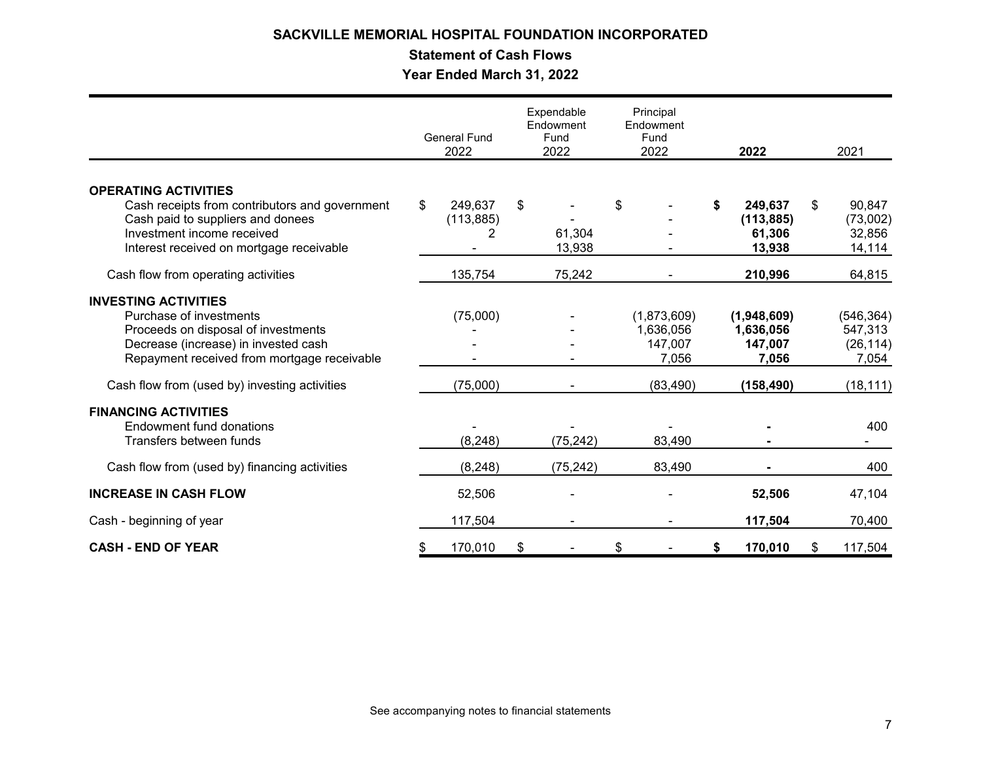## **Statement of Cash Flows**

**Year Ended March 31, 2022**

|                                                | <b>General Fund</b><br>2022 |            | Expendable<br>Endowment<br>Fund<br>2022 |           | Principal<br>Endowment<br>Fund<br>2022 |    | 2022        |    | 2021       |
|------------------------------------------------|-----------------------------|------------|-----------------------------------------|-----------|----------------------------------------|----|-------------|----|------------|
|                                                |                             |            |                                         |           |                                        |    |             |    |            |
| <b>OPERATING ACTIVITIES</b>                    |                             |            |                                         |           |                                        |    |             |    |            |
| Cash receipts from contributors and government | \$                          | 249,637    | \$                                      |           | \$                                     | \$ | 249,637     | \$ | 90,847     |
| Cash paid to suppliers and donees              |                             | (113, 885) |                                         |           |                                        |    | (113, 885)  |    | (73,002)   |
| Investment income received                     |                             | 2          |                                         | 61,304    |                                        |    | 61,306      |    | 32,856     |
| Interest received on mortgage receivable       |                             |            |                                         | 13,938    |                                        |    | 13,938      |    | 14,114     |
| Cash flow from operating activities            |                             | 135,754    |                                         | 75,242    |                                        |    | 210,996     |    | 64,815     |
| <b>INVESTING ACTIVITIES</b>                    |                             |            |                                         |           |                                        |    |             |    |            |
| Purchase of investments                        |                             | (75,000)   |                                         |           | (1,873,609)                            |    | (1,948,609) |    | (546, 364) |
| Proceeds on disposal of investments            |                             |            |                                         |           | 1,636,056                              |    | 1,636,056   |    | 547,313    |
| Decrease (increase) in invested cash           |                             |            |                                         |           | 147,007                                |    | 147,007     |    | (26, 114)  |
| Repayment received from mortgage receivable    |                             |            |                                         |           | 7,056                                  |    | 7,056       |    | 7,054      |
| Cash flow from (used by) investing activities  |                             | (75,000)   |                                         |           | (83, 490)                              |    | (158,490)   |    | (18, 111)  |
| <b>FINANCING ACTIVITIES</b>                    |                             |            |                                         |           |                                        |    |             |    |            |
| Endowment fund donations                       |                             |            |                                         |           |                                        |    |             |    | 400        |
| Transfers between funds                        |                             | (8, 248)   |                                         | (75, 242) | 83,490                                 |    |             |    |            |
| Cash flow from (used by) financing activities  |                             | (8, 248)   |                                         | (75, 242) | 83,490                                 |    |             |    | 400        |
| <b>INCREASE IN CASH FLOW</b>                   |                             | 52,506     |                                         |           |                                        |    | 52,506      |    | 47,104     |
| Cash - beginning of year                       |                             | 117,504    |                                         |           |                                        |    | 117,504     |    | 70,400     |
| <b>CASH - END OF YEAR</b>                      | S                           | 170,010    | \$                                      |           | \$                                     | \$ | 170,010     | \$ | 117,504    |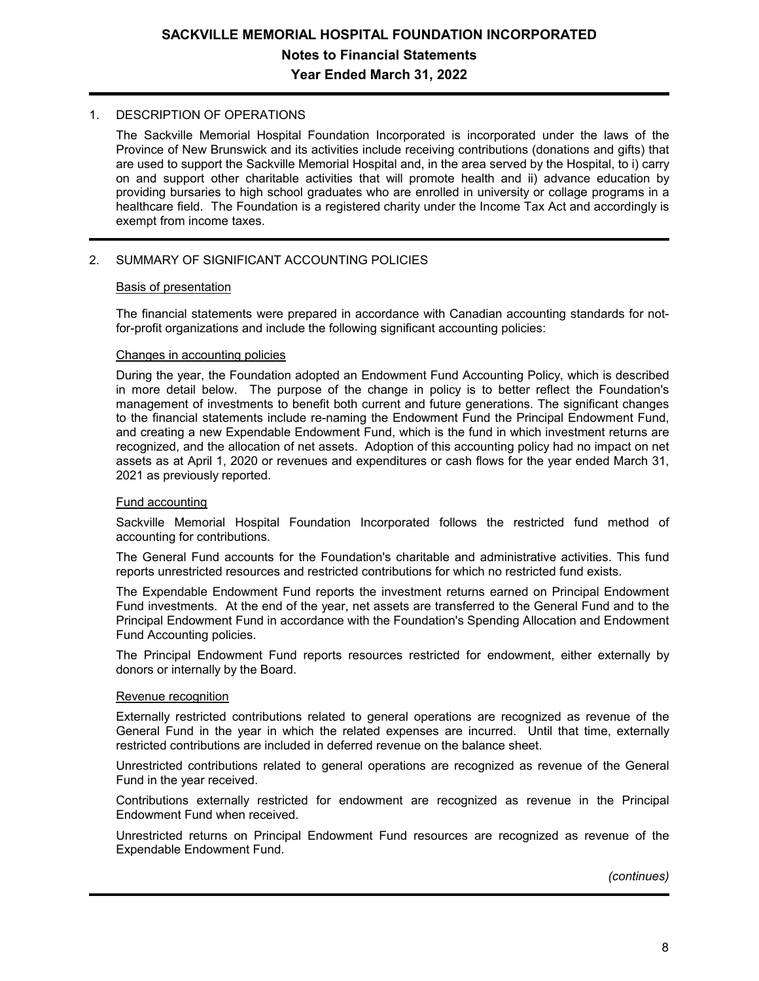## **SACKVILLE MEMORIAL HOSPITAL FOUNDATION INCORPORATED Notes to Financial Statements Year Ended March 31, 2022**

### 1. DESCRIPTION OF OPERATIONS

The Sackville Memorial Hospital Foundation Incorporated is incorporated under the laws of the Province of New Brunswick and its activities include receiving contributions (donations and gifts) that are used to support the Sackville Memorial Hospital and, in the area served by the Hospital, to i) carry on and support other charitable activities that will promote health and ii) advance education by providing bursaries to high school graduates who are enrolled in university or collage programs in a healthcare field. The Foundation is a registered charity under the Income Tax Act and accordingly is exempt from income taxes.

## 2. SUMMARY OF SIGNIFICANT ACCOUNTING POLICIES

#### Basis of presentation

The financial statements were prepared in accordance with Canadian accounting standards for notfor-profit organizations and include the following significant accounting policies:

### Changes in accounting policies

During the year, the Foundation adopted an Endowment Fund Accounting Policy, which is described in more detail below. The purpose of the change in policy is to better reflect the Foundation's management of investments to benefit both current and future generations. The significant changes to the financial statements include re-naming the Endowment Fund the Principal Endowment Fund, and creating a new Expendable Endowment Fund, which is the fund in which investment returns are recognized, and the allocation of net assets. Adoption of this accounting policy had no impact on net assets as at April 1, 2020 or revenues and expenditures or cash flows for the year ended March 31, 2021 as previously reported.

### Fund accounting

Sackville Memorial Hospital Foundation Incorporated follows the restricted fund method of accounting for contributions.

The General Fund accounts for the Foundation's charitable and administrative activities. This fund reports unrestricted resources and restricted contributions for which no restricted fund exists.

The Expendable Endowment Fund reports the investment returns earned on Principal Endowment Fund investments. At the end of the year, net assets are transferred to the General Fund and to the Principal Endowment Fund in accordance with the Foundation's Spending Allocation and Endowment Fund Accounting policies.

The Principal Endowment Fund reports resources restricted for endowment, either externally by donors or internally by the Board.

### Revenue recognition

Externally restricted contributions related to general operations are recognized as revenue of the General Fund in the year in which the related expenses are incurred. Until that time, externally restricted contributions are included in deferred revenue on the balance sheet.

Unrestricted contributions related to general operations are recognized as revenue of the General Fund in the year received.

Contributions externally restricted for endowment are recognized as revenue in the Principal Endowment Fund when received.

Unrestricted returns on Principal Endowment Fund resources are recognized as revenue of the Expendable Endowment Fund.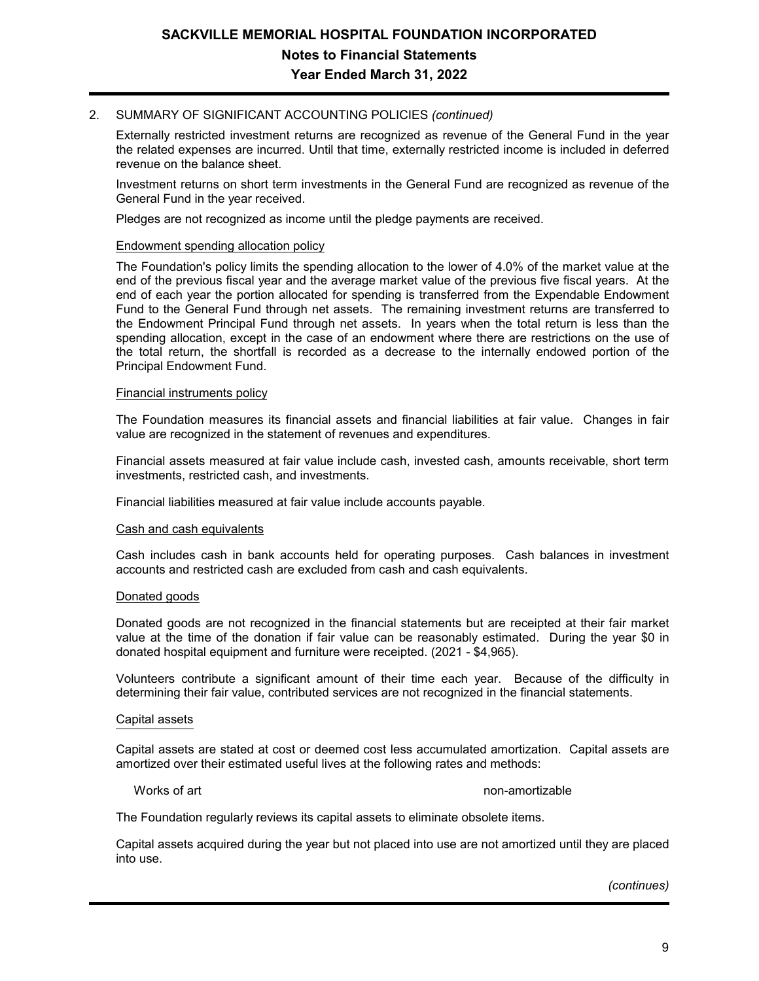## 2. SUMMARY OF SIGNIFICANT ACCOUNTING POLICIES *(continued)*

Externally restricted investment returns are recognized as revenue of the General Fund in the year the related expenses are incurred. Until that time, externally restricted income is included in deferred revenue on the balance sheet.

Investment returns on short term investments in the General Fund are recognized as revenue of the General Fund in the year received.

Pledges are not recognized as income until the pledge payments are received.

#### Endowment spending allocation policy

The Foundation's policy limits the spending allocation to the lower of 4.0% of the market value at the end of the previous fiscal year and the average market value of the previous five fiscal years. At the end of each year the portion allocated for spending is transferred from the Expendable Endowment Fund to the General Fund through net assets. The remaining investment returns are transferred to the Endowment Principal Fund through net assets. In years when the total return is less than the spending allocation, except in the case of an endowment where there are restrictions on the use of the total return, the shortfall is recorded as a decrease to the internally endowed portion of the Principal Endowment Fund.

#### Financial instruments policy

The Foundation measures its financial assets and financial liabilities at fair value. Changes in fair value are recognized in the statement of revenues and expenditures.

Financial assets measured at fair value include cash, invested cash, amounts receivable, short term investments, restricted cash, and investments.

Financial liabilities measured at fair value include accounts payable.

#### Cash and cash equivalents

Cash includes cash in bank accounts held for operating purposes. Cash balances in investment accounts and restricted cash are excluded from cash and cash equivalents.

### Donated goods

Donated goods are not recognized in the financial statements but are receipted at their fair market value at the time of the donation if fair value can be reasonably estimated. During the year \$0 in donated hospital equipment and furniture were receipted. (2021 - \$4,965).

Volunteers contribute a significant amount of their time each year. Because of the difficulty in determining their fair value, contributed services are not recognized in the financial statements.

#### Capital assets

Capital assets are stated at cost or deemed cost less accumulated amortization. Capital assets are amortized over their estimated useful lives at the following rates and methods:

#### Works of art non-amortizable when the non-amortizable in the non-amortizable in the non-amortizable

The Foundation regularly reviews its capital assets to eliminate obsolete items.

Capital assets acquired during the year but not placed into use are not amortized until they are placed into use.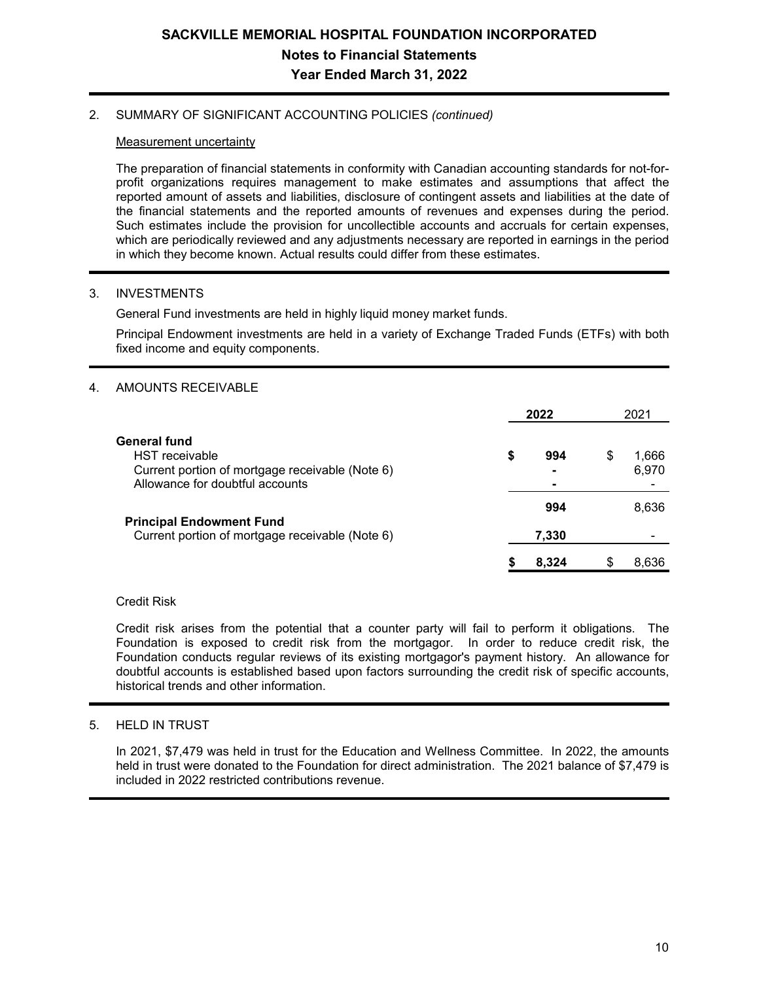### 2. SUMMARY OF SIGNIFICANT ACCOUNTING POLICIES *(continued)*

### Measurement uncertainty

The preparation of financial statements in conformity with Canadian accounting standards for not-forprofit organizations requires management to make estimates and assumptions that affect the reported amount of assets and liabilities, disclosure of contingent assets and liabilities at the date of the financial statements and the reported amounts of revenues and expenses during the period. Such estimates include the provision for uncollectible accounts and accruals for certain expenses, which are periodically reviewed and any adjustments necessary are reported in earnings in the period in which they become known. Actual results could differ from these estimates.

## 3. INVESTMENTS

General Fund investments are held in highly liquid money market funds.

Principal Endowment investments are held in a variety of Exchange Traded Funds (ETFs) with both fixed income and equity components.

## 4. AMOUNTS RECEIVABLE

|                                                 |    | 2022  |   | 2021           |
|-------------------------------------------------|----|-------|---|----------------|
| General fund<br><b>HST</b> receivable           |    | 994   |   |                |
| Current portion of mortgage receivable (Note 6) | \$ |       | S | 1.666<br>6,970 |
| Allowance for doubtful accounts                 |    |       |   |                |
|                                                 |    | 994   |   | 8,636          |
| <b>Principal Endowment Fund</b>                 |    |       |   |                |
| Current portion of mortgage receivable (Note 6) |    | 7,330 |   |                |
|                                                 | S  | 8.324 |   | 8.636          |

### Credit Risk

Credit risk arises from the potential that a counter party will fail to perform it obligations. The Foundation is exposed to credit risk from the mortgagor. In order to reduce credit risk, the Foundation conducts regular reviews of its existing mortgagor's payment history. An allowance for doubtful accounts is established based upon factors surrounding the credit risk of specific accounts, historical trends and other information.

## 5. HELD IN TRUST

In 2021, \$7,479 was held in trust for the Education and Wellness Committee. In 2022, the amounts held in trust were donated to the Foundation for direct administration. The 2021 balance of \$7.479 is included in 2022 restricted contributions revenue.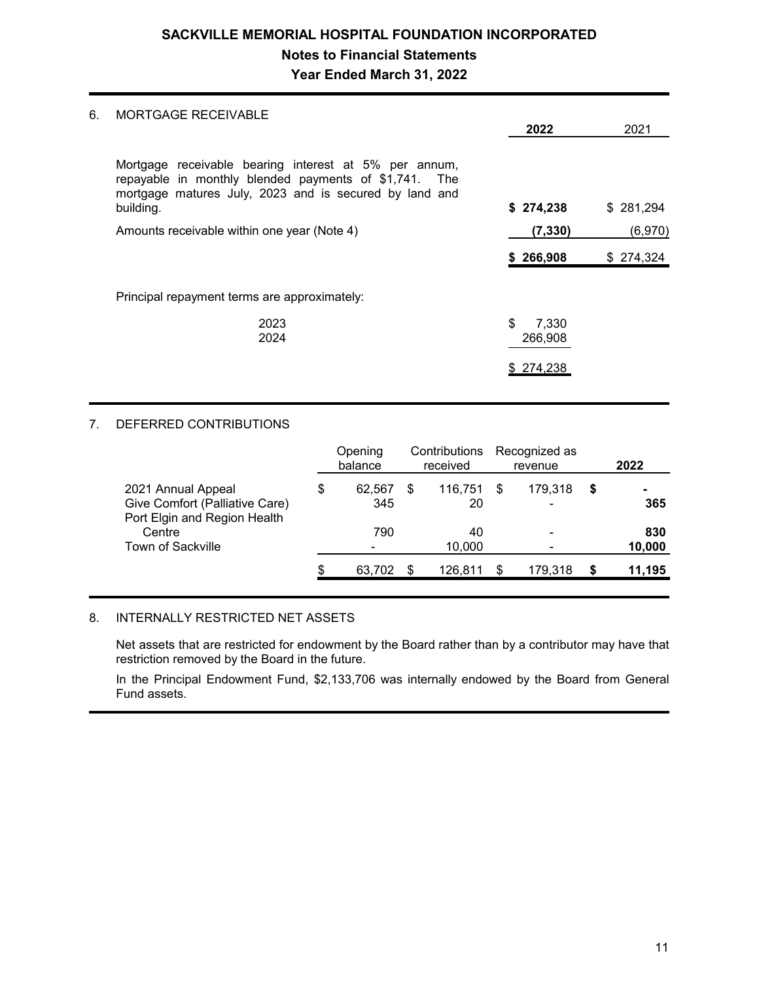## **SACKVILLE MEMORIAL HOSPITAL FOUNDATION INCORPORATED Notes to Financial Statements Year Ended March 31, 2022**

## 6. MORTGAGE RECEIVABLE

| MUNISAGE INLULIVADLE                                                                                                                                                                  | 2022                   | 2021      |
|---------------------------------------------------------------------------------------------------------------------------------------------------------------------------------------|------------------------|-----------|
| Mortgage receivable bearing interest at 5% per annum,<br>repayable in monthly blended payments of \$1,741. The<br>mortgage matures July, 2023 and is secured by land and<br>building. | \$274,238              | \$281,294 |
| Amounts receivable within one year (Note 4)                                                                                                                                           | (7, 330)               | (6,970)   |
|                                                                                                                                                                                       | \$266,908              | \$274,324 |
| Principal repayment terms are approximately:                                                                                                                                          |                        |           |
| 2023<br>2024                                                                                                                                                                          | \$<br>7,330<br>266,908 |           |
|                                                                                                                                                                                       | \$274,238              |           |
|                                                                                                                                                                                       |                        |           |

## 7. DEFERRED CONTRIBUTIONS

|                                                                                      | Opening<br>balance  | received      |     | Contributions Recognized as<br>revenue |   | 2022                  |
|--------------------------------------------------------------------------------------|---------------------|---------------|-----|----------------------------------------|---|-----------------------|
| 2021 Annual Appeal<br>Give Comfort (Palliative Care)<br>Port Elgin and Region Health | \$<br>62,567<br>345 | 116,751<br>20 | -\$ | 179,318<br>$\overline{\phantom{0}}$    | S | $\blacksquare$<br>365 |
| Centre<br>Town of Sackville                                                          | 790<br>۰            | 40<br>10,000  |     | $\overline{\phantom{0}}$               |   | 830<br>10,000         |
|                                                                                      | \$<br>63.702        | 126,811       | \$  | 179,318                                |   | 11,195                |

### 8. INTERNALLY RESTRICTED NET ASSETS

Net assets that are restricted for endowment by the Board rather than by a contributor may have that restriction removed by the Board in the future.

In the Principal Endowment Fund, \$2,133,706 was internally endowed by the Board from General Fund assets.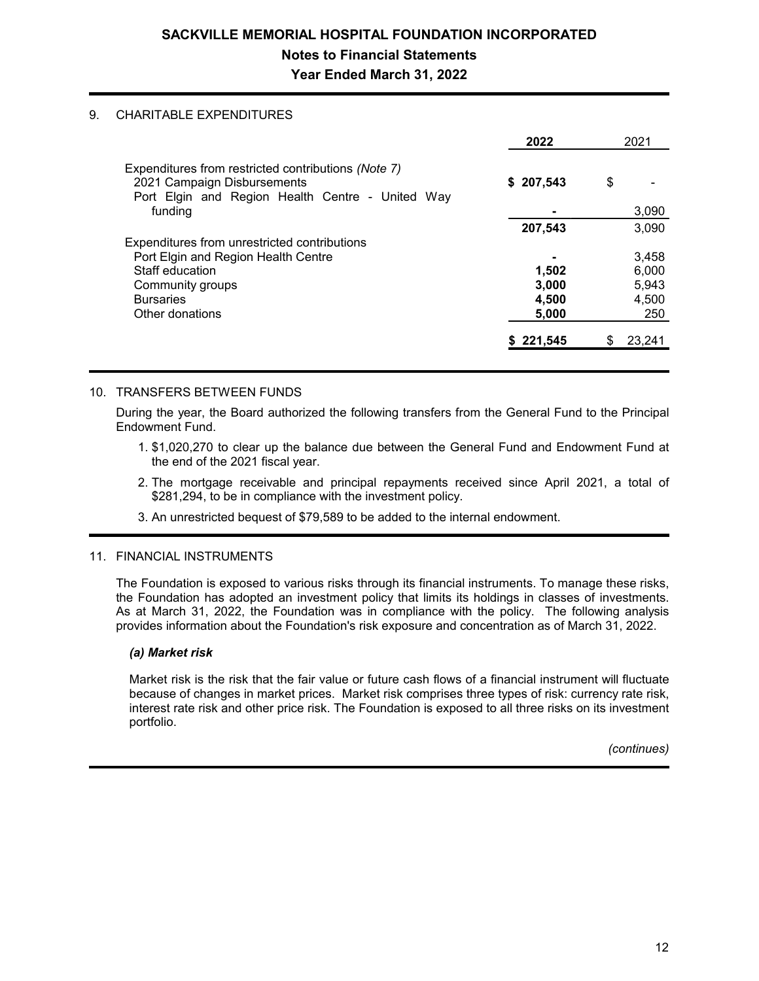## **SACKVILLE MEMORIAL HOSPITAL FOUNDATION INCORPORATED Notes to Financial Statements Year Ended March 31, 2022**

### 9. CHARITABLE EXPENDITURES

|                                                                                                                                        | 2022      | 2021   |
|----------------------------------------------------------------------------------------------------------------------------------------|-----------|--------|
| Expenditures from restricted contributions (Note 7)<br>2021 Campaign Disbursements<br>Port Elgin and Region Health Centre - United Way | \$207,543 | \$     |
| funding                                                                                                                                |           | 3,090  |
|                                                                                                                                        | 207,543   | 3,090  |
| Expenditures from unrestricted contributions                                                                                           |           |        |
| Port Elgin and Region Health Centre                                                                                                    |           | 3,458  |
| Staff education                                                                                                                        | 1,502     | 6,000  |
| Community groups                                                                                                                       | 3,000     | 5,943  |
| <b>Bursaries</b>                                                                                                                       | 4,500     | 4,500  |
| Other donations                                                                                                                        | 5,000     | 250    |
|                                                                                                                                        | 221,545   | 23,241 |

## 10. TRANSFERS BETWEEN FUNDS

During the year, the Board authorized the following transfers from the General Fund to the Principal Endowment Fund.

- 1. \$1,020,270 to clear up the balance due between the General Fund and Endowment Fund at the end of the 2021 fiscal year.
- 2. The mortgage receivable and principal repayments received since April 2021, a total of \$281,294, to be in compliance with the investment policy.
- 3. An unrestricted bequest of \$79,589 to be added to the internal endowment.

### 11. FINANCIAL INSTRUMENTS

The Foundation is exposed to various risks through its financial instruments. To manage these risks, the Foundation has adopted an investment policy that limits its holdings in classes of investments. As at March 31, 2022, the Foundation was in compliance with the policy. The following analysis provides information about the Foundation's risk exposure and concentration as of March 31, 2022.

## *(a) Market risk*

Market risk is the risk that the fair value or future cash flows of a financial instrument will fluctuate because of changes in market prices. Market risk comprises three types of risk: currency rate risk, interest rate risk and other price risk. The Foundation is exposed to all three risks on its investment portfolio.